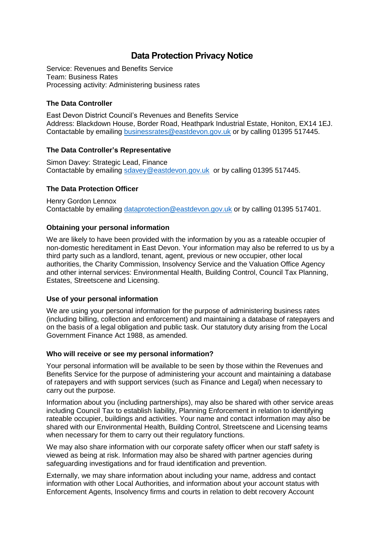# **Data Protection Privacy Notice**

Service: Revenues and Benefits Service Team: Business Rates Processing activity: Administering business rates

# **The Data Controller**

East Devon District Council's Revenues and Benefits Service Address: Blackdown House, Border Road, Heathpark Industrial Estate, Honiton, EX14 1EJ. Contactable by emailing [businessrates@eastdevon.gov.uk](mailto:businessrates@eastdevon.gov.uk) or by calling 01395 517445.

## **The Data Controller's Representative**

Simon Davey: Strategic Lead, Finance Contactable by emailing [sdavey@eastdevon.gov.uk](mailto:sdavey@eastdevon.gov.uk) or by calling 01395 517445.

# **The Data Protection Officer**

Henry Gordon Lennox Contactable by emailing [dataprotection@eastdevon.gov.uk](mailto:dataprotection@eastdevon.gov.uk) or by calling 01395 517401.

# **Obtaining your personal information**

We are likely to have been provided with the information by you as a rateable occupier of non-domestic hereditament in East Devon. Your information may also be referred to us by a third party such as a landlord, tenant, agent, previous or new occupier, other local authorities, the Charity Commission, Insolvency Service and the Valuation Office Agency and other internal services: Environmental Health, Building Control, Council Tax Planning, Estates, Streetscene and Licensing.

## **Use of your personal information**

We are using your personal information for the purpose of administering business rates (including billing, collection and enforcement) and maintaining a database of ratepayers and on the basis of a legal obligation and public task. Our statutory duty arising from the Local Government Finance Act 1988, as amended.

## **Who will receive or see my personal information?**

Your personal information will be available to be seen by those within the Revenues and Benefits Service for the purpose of administering your account and maintaining a database of ratepayers and with support services (such as Finance and Legal) when necessary to carry out the purpose.

Information about you (including partnerships), may also be shared with other service areas including Council Tax to establish liability, Planning Enforcement in relation to identifying rateable occupier, buildings and activities. Your name and contact information may also be shared with our Environmental Health, Building Control, Streetscene and Licensing teams when necessary for them to carry out their regulatory functions.

We may also share information with our corporate safety officer when our staff safety is viewed as being at risk. Information may also be shared with partner agencies during safeguarding investigations and for fraud identification and prevention.

Externally, we may share information about including your name, address and contact information with other Local Authorities, and information about your account status with Enforcement Agents, Insolvency firms and courts in relation to debt recovery Account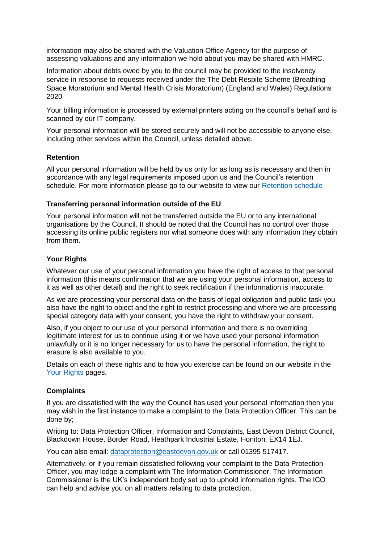information may also be shared with the Valuation Office Agency for the purpose of assessing valuations and any information we hold about you may be shared with HMRC.

Information about debts owed by you to the council may be provided to the insolvency service in response to requests received under the The Debt Respite Scheme (Breathing Space Moratorium and Mental Health Crisis Moratorium) (England and Wales) Regulations 2020

Your billing information is processed by external printers acting on the council's behalf and is scanned by our IT company.

Your personal information will be stored securely and will not be accessible to anyone else, including other services within the Council, unless detailed above.

## **Retention**

All your personal information will be held by us only for as long as is necessary and then in accordance with any legal requirements imposed upon us and the Council's retention schedule. For more information please go to our website to view our [Retention schedule](http://eastdevon.gov.uk/access-to-information/data-protection/document-retention-schedules/)

#### **Transferring personal information outside of the EU**

Your personal information will not be transferred outside the EU or to any international organisations by the Council. It should be noted that the Council has no control over those accessing its online public registers nor what someone does with any information they obtain from them.

#### **Your Rights**

Whatever our use of your personal information you have the right of access to that personal information (this means confirmation that we are using your personal information, access to it as well as other detail) and the right to seek rectification if the information is inaccurate.

As we are processing your personal data on the basis of legal obligation and public task you also have the right to object and the right to restrict processing and where we are processing special category data with your consent, you have the right to withdraw your consent.

Also, if you object to our use of your personal information and there is no overriding legitimate interest for us to continue using it or we have used your personal information unlawfully or it is no longer necessary for us to have the personal information, the right to erasure is also available to you.

Details on each of these rights and to how you exercise can be found on our website in the [Your Rights](https://eastdevon.gov.uk/access-to-information/data-protection/data-protection-information/your-rights/) pages.

#### **Complaints**

If you are dissatisfied with the way the Council has used your personal information then you may wish in the first instance to make a complaint to the Data Protection Officer. This can be done by;

Writing to: Data Protection Officer, Information and Complaints, East Devon District Council, Blackdown House, Border Road, Heathpark Industrial Estate, Honiton, EX14 1EJ.

You can also email: [dataprotection@eastdevon.gov.uk](mailto:dataprotection@eastdevon.gov.uk) or call 01395 517417.

Alternatively, or if you remain dissatisfied following your complaint to the Data Protection Officer, you may lodge a complaint with The Information Commissioner. The Information Commissioner is the UK's independent body set up to uphold information rights. The ICO can help and advise you on all matters relating to data protection.